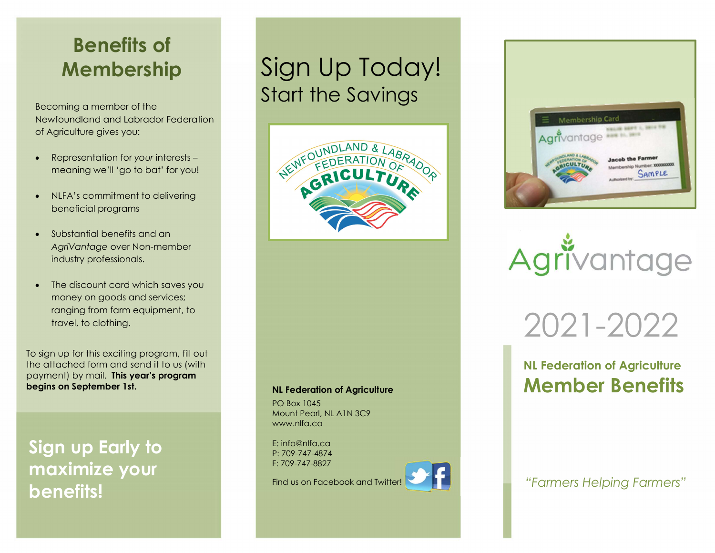## Benefits of Membership

Becoming a member of the Newfoundland and Labrador Federation of Agriculture gives you:

- Representation for your interests meaning we'll 'go to bat' for you!
- NLFA's commitment to delivering beneficial programs
- Substantial benefits and an AgriVantage over Non-member industry professionals.
- The discount card which saves you money on goods and services; ranging from farm equipment, to travel, to clothing.

To sign up for this exciting program, fill out the attached form and send it to us (with payment) by mail. This year's program begins on September 1st.

Sign up Early to maximize your benefits!

# Sign Up Today! Start the Savings



#### NL Federation of Agriculture

PO Box 1045 Mount Pearl, NL A1N 3C9 www.nlfa.ca

E: info@nlfa.ca P: 709-747-4874 F: 709-747-8827

Find us on Facebook and Twitter!







2021-2022

### NL Federation of Agriculture Member Benefits

"Farmers Helping Farmers"